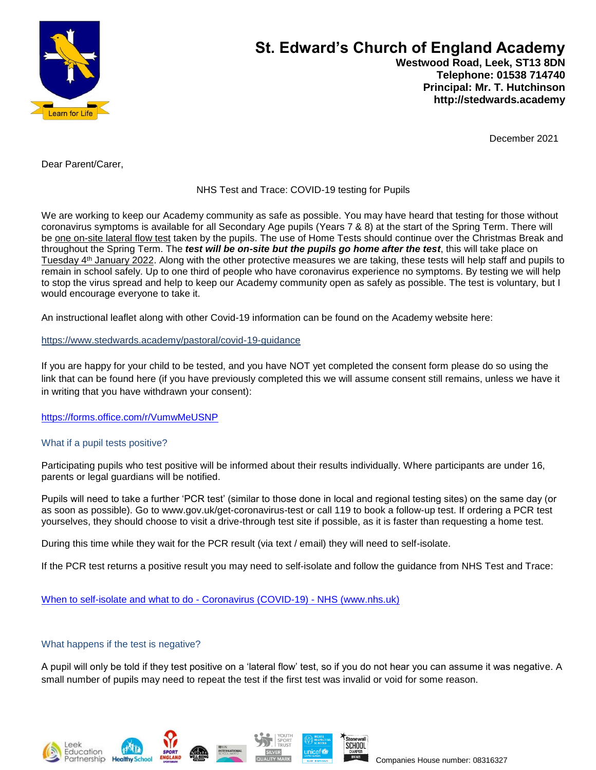

# **St. Edward's Church of England Academy Westwood Road, Leek, ST13 8DN Telephone: 01538 714740 Principal: Mr. T. Hutchinson**

December 2021

 **http://stedwards.academy**

Dear Parent/Carer,

# NHS Test and Trace: COVID-19 testing for Pupils

We are working to keep our Academy community as safe as possible. You may have heard that testing for those without coronavirus symptoms is available for all Secondary Age pupils (Years 7 & 8) at the start of the Spring Term. There will be one on-site lateral flow test taken by the pupils. The use of Home Tests should continue over the Christmas Break and throughout the Spring Term. The *test will be on-site but the pupils go home after the test*, this will take place on Tuesday 4th January 2022. Along with the other protective measures we are taking, these tests will help staff and pupils to remain in school safely. Up to one third of people who have coronavirus experience no symptoms. By testing we will help to stop the virus spread and help to keep our Academy community open as safely as possible. The test is voluntary, but I would encourage everyone to take it.

An instructional leaflet along with other Covid-19 information can be found on the Academy website here:

### <https://www.stedwards.academy/pastoral/covid-19-guidance>

If you are happy for your child to be tested, and you have NOT yet completed the consent form please do so using the link that can be found here (if you have previously completed this we will assume consent still remains, unless we have it in writing that you have withdrawn your consent):

<https://forms.office.com/r/VumwMeUSNP>

# What if a pupil tests positive?

Participating pupils who test positive will be informed about their results individually. Where participants are under 16, parents or legal guardians will be notified.

Pupils will need to take a further 'PCR test' (similar to those done in local and regional testing sites) on the same day (or as soon as possible). Go to www.gov.uk/get-coronavirus-test or call 119 to book a follow-up test. If ordering a PCR test yourselves, they should choose to visit a drive-through test site if possible, as it is faster than requesting a home test.

During this time while they wait for the PCR result (via text / email) they will need to self-isolate.

If the PCR test returns a positive result you may need to self-isolate and follow the guidance from NHS Test and Trace:

[When to self-isolate and what to do](https://www.nhs.uk/conditions/coronavirus-covid-19/self-isolation-and-treatment/when-to-self-isolate-and-what-to-do/) - Coronavirus (COVID-19) - NHS (www.nhs.uk)

# What happens if the test is negative?

A pupil will only be told if they test positive on a 'lateral flow' test, so if you do not hear you can assume it was negative. A small number of pupils may need to repeat the test if the first test was invalid or void for some reason.